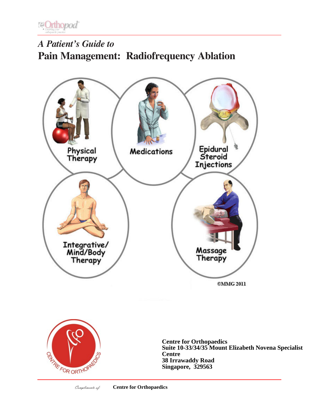

# *A Patient's Guide to* **Pain Management: Radiofrequency Ablation**





**Centre for Orthopaedics Suite 10-33/34/35 Mount Elizabeth Novena Specialist Centre 38 Irrawaddy Road Singapore, 329563**

Compliments of: **Centre for Orthopaedics**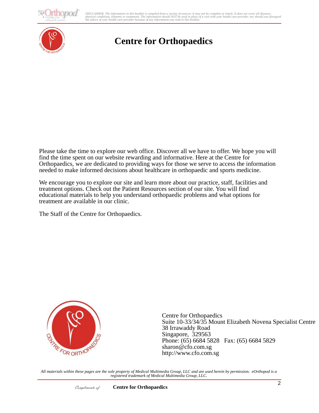10*pod* 

conditions, althents or treatments. The information should iver be used in place of a visit with your nearm care pr<br>e of your health care provider because of any information you read in this booklet. DISCLAIMER: The information in this booklet is compiled from a variety of sources. It may not be complete or timely. It does not cover all diseases,<br>physical conditions, ailments or treatments. The information yould NOT be



## **Centre for Orthopaedics**

Please take the time to explore our web office. Discover all we have to offer. We hope you will find the time spent on our website rewarding and informative. Here at the Centre for Orthopaedics, we are dedicated to providing ways for those we serve to access the information needed to make informed decisions about healthcare in orthopaedic and sports medicine.

We encourage you to explore our site and learn more about our practice, staff, facilities and treatment options. Check out the Patient Resources section of our site. You will find educational materials to help you understand orthopaedic problems and what options for treatment are available in our clinic.

The Staff of the Centre for Orthopaedics.



Centre for Orthopaedics Suite 10-33/34/35 Mount Elizabeth Novena Specialist Centre 38 Irrawaddy Road Singapore, 329563 Phone: (65) 6684 5828 Fax: (65) 6684 5829 sharon@cfo.com.sg http://www.cfo.com.sg

*All materials within these pages are the sole property of Medical Multimedia Group, LLC and are used herein by permission. eOrthopod is a registered trademark of Medical Multimedia Group, LLC.*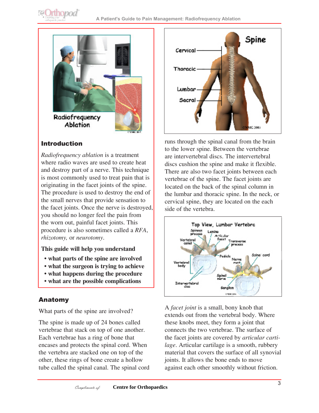

## Introduction

*Radiofrequency ablation* is a treatment where radio waves are used to create heat and destroy part of a nerve. This technique is most commonly used to treat pain that is originating in the facet joints of the spine. The procedure is used to destroy the end of the small nerves that provide sensation to the facet joints. Once the nerve is destroyed, you should no longer feel the pain from the worn out, painful facet joints. This procedure is also sometimes called a *RFA*, *rhizotomy,* or *neurotomy*.

#### **This guide will help you understand**

- **what parts of the spine are involved**
- **what the surgeon is trying to achieve**
- **what happens during the procedure**
- **what are the possible complications**

## Anatomy

What parts of the spine are involved?

The spine is made up of 24 bones called vertebrae that stack on top of one another. Each vertebrae has a ring of bone that encases and protects the spinal cord. When the vertebra are stacked one on top of the other, these rings of bone create a hollow tube called the spinal canal. The spinal cord



runs through the spinal canal from the brain to the lower spine. Between the vertebrae are intervertebral discs. The intervertebral discs cushion the spine and make it flexible. There are also two facet joints between each vertebrae of the spine. The facet joints are located on the back of the spinal column in the lumbar and thoracic spine. In the neck, or cervical spine, they are located on the each side of the vertebra.



A *facet joint* is a small, bony knob that extends out from the vertebral body. Where these knobs meet, they form a joint that connects the two vertebrae. The surface of the facet joints are covered by *articular cartilage*. Articular cartilage is a smooth, rubbery material that covers the surface of all synovial joints. It allows the bone ends to move against each other smoothly without friction.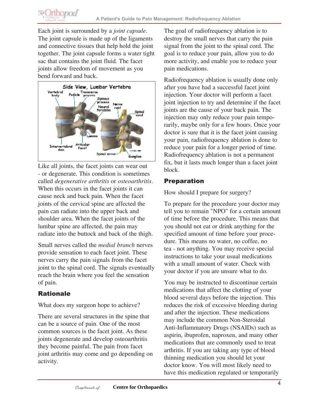Each joint is surrounded by a *joint capsule*. The joint capsule is made up of the ligaments and connective tissues that help hold the joint together. The joint capsule forms a water tight sac that contains the joint fluid. The facet joints allow freedom of movement as you bend forward and back.

**E**Orthopod



Like all joints, the facet joints can wear out - or degenerate. This condition is sometimes called *degenerative arthritis* or *osteoarthritis*. When this occurs in the facet joints it can cause neck and back pain. When the facet joints of the cervical spine are affected the pain can radiate into the upper back and shoulder area. When the facet joints of the lumbar spine are affected, the pain may radiate into the buttock and back of the thigh.

Small nerves called the *medial branch* nerves provide sensation to each facet joint. These nerves carry the pain signals from the facet joint to the spinal cord. The signals eventually reach the brain where you feel the sensation of pain.

## Rationale

What does my surgeon hope to achieve?

There are several structures in the spine that can be a source of pain. One of the most common sources is the facet joint. As these joints degenerate and develop osteoarthritis they become painful. The pain from facet joint arthritis may come and go depending on activity.

The goal of radiofrequency ablation is to destroy the small nerves that carry the pain signal from the joint to the spinal cord. The goal is to reduce your pain, allow you to do more activity, and enable you to reduce your pain medications.

Radiofrequency ablation is usually done only after you have had a successful facet joint injection. Your doctor will perform a facet joint injection to try and determine if the facet joints are the cause of your back pain. The injection may only reduce your pain temporarily, maybe only for a few hours. Once your doctor is sure that it is the facet joint causing your pain, radiofrequency ablation is done to reduce your pain for a longer period of time. Radiofrequency ablation is not a permanent fix, but it lasts much longer than a facet joint block.

## Preparation

How should I prepare for surgery?

To prepare for the procedure your doctor may tell you to remain "NPO" for a certain amount of time before the procedure. This means that you should not eat or drink anything for the specified amount of time before your procedure. This means no water, no coffee, no tea - not anything. You may receive special instructions to take your usual medications with a small amount of water. Check with your doctor if you are unsure what to do.

You may be instructed to discontinue certain medications that affect the clotting of your blood several days before the injection. This reduces the risk of excessive bleeding during and after the injection. These medications may include the common Non-Steroidal Anti-Inflammatory Drugs (NSAIDs) such as aspirin, ibuprofen, naproxen, and many other medications that are commonly used to treat arthritis. If you are taking any type of blood thinning medication you should let your doctor know. You will most likely need to have this medication regulated or temporarily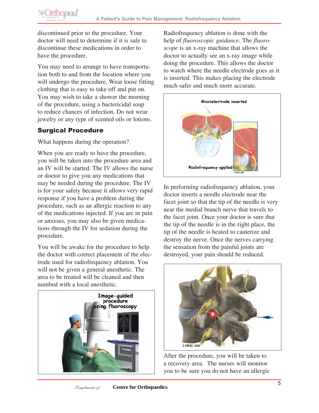discontinued prior to the procedure. Your doctor will need to determine if it is safe to discontinue these medications in order to have the procedure.

You may need to arrange to have transportation both to and from the location where you will undergo the procedure. Wear loose fitting clothing that is easy to take off and put on. You may wish to take a shower the morning of the procedure, using a bactericidal soap to reduce chances of infection. Do not wear jewelry or any type of scented oils or lotions.

## Surgical Procedure

**@Orthopod** 

What happens during the operation?

When you are ready to have the procedure, you will be taken into the procedure area and an IV will be started. The IV allows the nurse or doctor to give you any medications that may be needed during the procedure. The IV is for your safety because it allows very rapid response if you have a problem during the procedure, such as an allergic reaction to any of the medications injected. If you are in pain or anxious, you may also be given medications through the IV for sedation during the procedure.

You will be awake for the procedure to help the doctor with correct placement of the electrode used for radiofrequency ablation. You will not be given a general anesthetic. The area to be treated will be cleaned and then numbed with a local anesthetic.



Radiofrequency ablation is done with the help of *fluoroscopic guidance*. The *fluoroscope* is an x-ray machine that allows the doctor to actually see an x-ray image while doing the procedure. This allows the doctor to watch where the needle electrode goes as it is inserted. This makes placing the electrode much safer and much more accurate.



In performing radiofrequency ablation, your doctor inserts a needle electrode near the facet joint so that the tip of the needle is very near the medial branch nerve that travels to the facet joint. Once your doctor is sure that the tip of the needle is in the right place, the tip of the needle is heated to cauterize and destroy the nerve. Once the nerves carrying the sensation from the painful joints are destroyed, your pain should be reduced.



After the procedure, you will be taken to a recovery area. The nurses will monitor you to be sure you do not have an allergic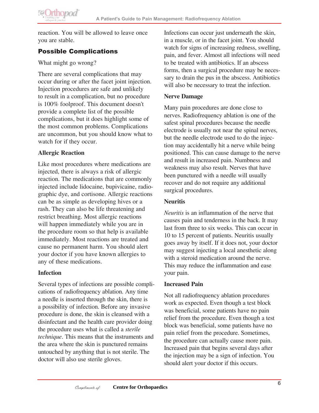

reaction. You will be allowed to leave once you are stable.

## Possible Complications

What might go wrong?

There are several complications that may occur during or after the facet joint injection. Injection procedures are safe and unlikely to result in a complication, but no procedure is 100% foolproof. This document doesn't provide a complete list of the possible complications, but it does highlight some of the most common problems. Complications are uncommon, but you should know what to watch for if they occur.

### **Allergic Reaction**

Like most procedures where medications are injected, there is always a risk of allergic reaction. The medications that are commonly injected include lidocaine, bupivicaine, radiographic dye, and cortisone. Allergic reactions can be as simple as developing hives or a rash. They can also be life threatening and restrict breathing. Most allergic reactions will happen immediately while you are in the procedure room so that help is available immediately. Most reactions are treated and cause no permanent harm. You should alert your doctor if you have known allergies to any of these medications.

#### **Infection**

Several types of infections are possible complications of radiofrequency ablation. Any time a needle is inserted through the skin, there is a possibility of infection. Before any invasive procedure is done, the skin is cleansed with a disinfectant and the health care provider doing the procedure uses what is called a *sterile technique*. This means that the instruments and the area where the skin is punctured remains untouched by anything that is not sterile. The doctor will also use sterile gloves.

Infections can occur just underneath the skin, in a muscle, or in the facet joint. You should watch for signs of increasing redness, swelling, pain, and fever. Almost all infections will need to be treated with antibiotics. If an abscess forms, then a surgical procedure may be necessary to drain the pus in the abscess. Antibiotics will also be necessary to treat the infection.

#### **Nerve Damage**

Many pain procedures are done close to nerves. Radiofrequency ablation is one of the safest spinal procedures because the needle electrode is usually not near the spinal nerves, but the needle electrode used to do the injection may accidentally hit a nerve while being positioned. This can cause damage to the nerve and result in increased pain. Numbness and weakness may also result. Nerves that have been punctured with a needle will usually recover and do not require any additional surgical procedures.

### **Neuritis**

*Neuritis* is an inflammation of the nerve that causes pain and tenderness in the back. It may last from three to six weeks. This can occur in 10 to 15 percent of patients. Neuritis usually goes away by itself. If it does not, your doctor may suggest injecting a local anesthetic along with a steroid medication around the nerve. This may reduce the inflammation and ease your pain.

#### **Increased Pain**

Not all radiofrequency ablation procedures work as expected. Even though a test block was beneficial, some patients have no pain relief from the procedure. Even though a test block was beneficial, some patients have no pain relief from the procedure. Sometimes, the procedure can actually cause more pain. Increased pain that begins several days after the injection may be a sign of infection. You should alert your doctor if this occurs.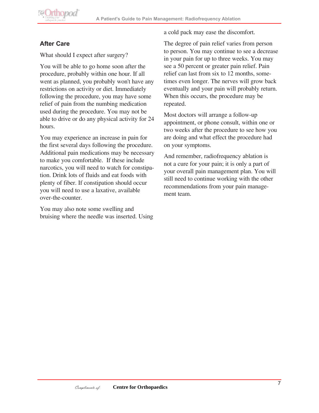

## **After Care**

What should I expect after surgery?

You will be able to go home soon after the procedure, probably within one hour. If all went as planned, you probably won't have any restrictions on activity or diet. Immediately following the procedure, you may have some relief of pain from the numbing medication used during the procedure. You may not be able to drive or do any physical activity for 24 hours.

You may experience an increase in pain for the first several days following the procedure. Additional pain medications may be necessary to make you comfortable. If these include narcotics, you will need to watch for constipation. Drink lots of fluids and eat foods with plenty of fiber. If constipation should occur you will need to use a laxative, available over-the-counter.

You may also note some swelling and bruising where the needle was inserted. Using a cold pack may ease the discomfort.

The degree of pain relief varies from person to person. You may continue to see a decrease in your pain for up to three weeks. You may see a 50 percent or greater pain relief. Pain relief can last from six to 12 months, sometimes even longer. The nerves will grow back eventually and your pain will probably return. When this occurs, the procedure may be repeated.

Most doctors will arrange a follow-up appointment, or phone consult, within one or two weeks after the procedure to see how you are doing and what effect the procedure had on your symptoms.

And remember, radiofrequency ablation is not a cure for your pain; it is only a part of your overall pain management plan. You will still need to continue working with the other recommendations from your pain management team.